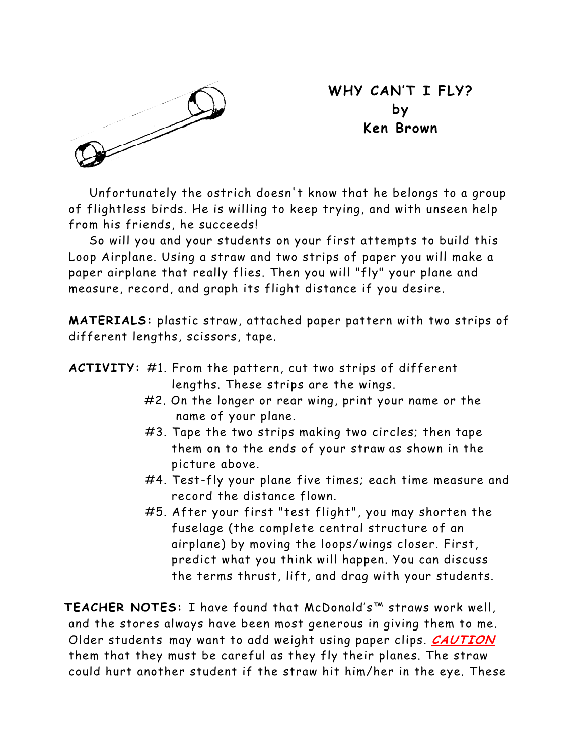

**WHY CAN'T I FLY? by Ken Brown** 

Unfortunately the ostrich doesn't know that he belongs to a group of flightless birds. He is willing to keep trying, and with unseen help from his friends, he succeeds!

So will you and your students on your first attempts to build this Loop Airplane. Using a straw and two strips of paper you will make a paper airplane that really flies. Then you will "fly" your plane and measure, record, and graph its flight distance if you desire.

**MATERIALS:** plastic straw, attached paper pattern with two strips of different lengths, scissors, tape.

| <b>ACTIVITY:</b> #1. From the pattern, cut two strips of different |                                      |  |  |  |  |
|--------------------------------------------------------------------|--------------------------------------|--|--|--|--|
|                                                                    | lengths. These strips are the wings. |  |  |  |  |

- #2. On the longer or rear wing, print your name or the name of your plane.
- #3. Tape the two strips making two circles; then tape them on to the ends of your straw as shown in the picture above.
- #4. Test-fly your plane five times; each time measure and record the distance flown.
- #5. After your first "test flight", you may shorten the fuselage (the complete central structure of an airplane) by moving the loops/wings closer. First, predict what you think will happen. You can discuss the terms thrust, lift, and drag with your students.

**TEACHER NOTES:** I have found that McDonald's™ straws work well, and the stores always have been most generous in giving them to me. Older students may want to add weight using paper clips. **CAUTION** them that they must be careful as they fly their planes. The straw could hurt another student if the straw hit him/her in the eye. These